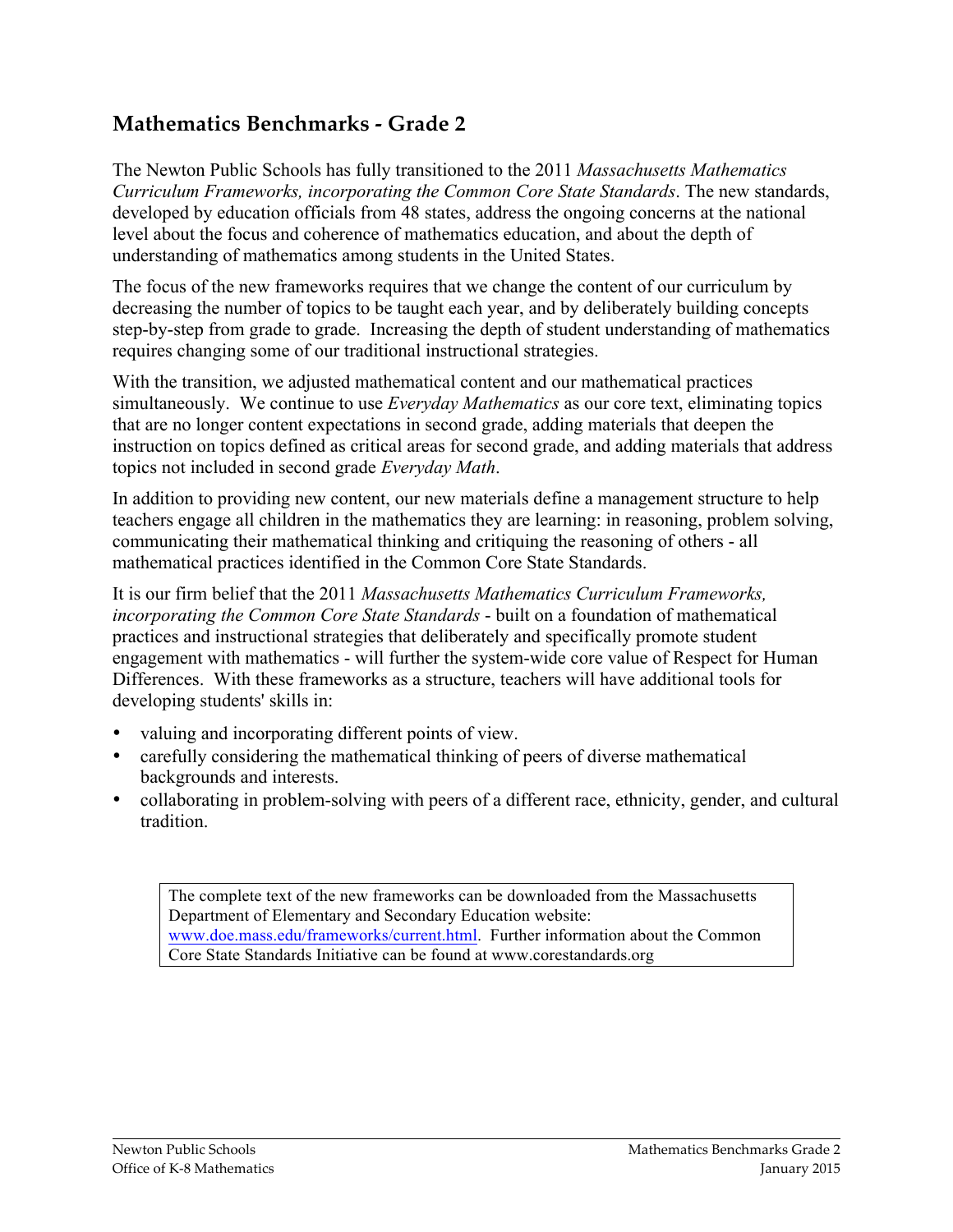# **Mathematics Benchmarks - Grade 2**

The Newton Public Schools has fully transitioned to the 2011 *Massachusetts Mathematics Curriculum Frameworks, incorporating the Common Core State Standards*. The new standards, developed by education officials from 48 states, address the ongoing concerns at the national level about the focus and coherence of mathematics education, and about the depth of understanding of mathematics among students in the United States.

The focus of the new frameworks requires that we change the content of our curriculum by decreasing the number of topics to be taught each year, and by deliberately building concepts step-by-step from grade to grade. Increasing the depth of student understanding of mathematics requires changing some of our traditional instructional strategies.

With the transition, we adjusted mathematical content and our mathematical practices simultaneously. We continue to use *Everyday Mathematics* as our core text, eliminating topics that are no longer content expectations in second grade, adding materials that deepen the instruction on topics defined as critical areas for second grade, and adding materials that address topics not included in second grade *Everyday Math*.

In addition to providing new content, our new materials define a management structure to help teachers engage all children in the mathematics they are learning: in reasoning, problem solving, communicating their mathematical thinking and critiquing the reasoning of others - all mathematical practices identified in the Common Core State Standards.

It is our firm belief that the 2011 *Massachusetts Mathematics Curriculum Frameworks, incorporating the Common Core State Standards* - built on a foundation of mathematical practices and instructional strategies that deliberately and specifically promote student engagement with mathematics - will further the system-wide core value of Respect for Human Differences. With these frameworks as a structure, teachers will have additional tools for developing students' skills in:

- valuing and incorporating different points of view.
- carefully considering the mathematical thinking of peers of diverse mathematical backgrounds and interests.
- collaborating in problem-solving with peers of a different race, ethnicity, gender, and cultural tradition.

The complete text of the new frameworks can be downloaded from the Massachusetts Department of Elementary and Secondary Education website: www.doe.mass.edu/frameworks/current.html. Further information about the Common Core State Standards Initiative can be found at www.corestandards.org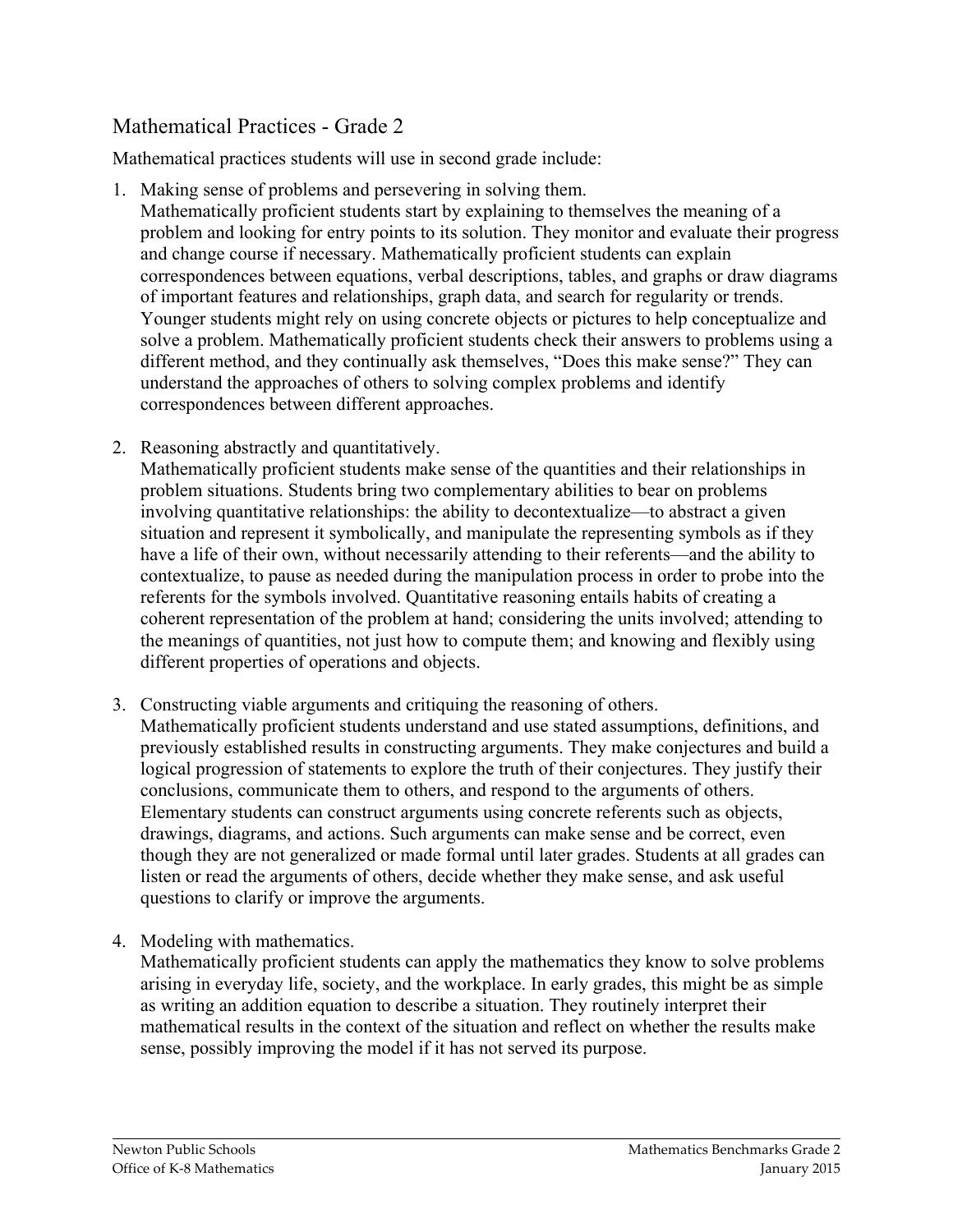# Mathematical Practices - Grade 2

Mathematical practices students will use in second grade include:

1. Making sense of problems and persevering in solving them.

Mathematically proficient students start by explaining to themselves the meaning of a problem and looking for entry points to its solution. They monitor and evaluate their progress and change course if necessary. Mathematically proficient students can explain correspondences between equations, verbal descriptions, tables, and graphs or draw diagrams of important features and relationships, graph data, and search for regularity or trends. Younger students might rely on using concrete objects or pictures to help conceptualize and solve a problem. Mathematically proficient students check their answers to problems using a different method, and they continually ask themselves, "Does this make sense?" They can understand the approaches of others to solving complex problems and identify correspondences between different approaches.

2. Reasoning abstractly and quantitatively.

Mathematically proficient students make sense of the quantities and their relationships in problem situations. Students bring two complementary abilities to bear on problems involving quantitative relationships: the ability to decontextualize—to abstract a given situation and represent it symbolically, and manipulate the representing symbols as if they have a life of their own, without necessarily attending to their referents—and the ability to contextualize, to pause as needed during the manipulation process in order to probe into the referents for the symbols involved. Quantitative reasoning entails habits of creating a coherent representation of the problem at hand; considering the units involved; attending to the meanings of quantities, not just how to compute them; and knowing and flexibly using different properties of operations and objects.

- 3. Constructing viable arguments and critiquing the reasoning of others. Mathematically proficient students understand and use stated assumptions, definitions, and previously established results in constructing arguments. They make conjectures and build a logical progression of statements to explore the truth of their conjectures. They justify their conclusions, communicate them to others, and respond to the arguments of others. Elementary students can construct arguments using concrete referents such as objects, drawings, diagrams, and actions. Such arguments can make sense and be correct, even though they are not generalized or made formal until later grades. Students at all grades can listen or read the arguments of others, decide whether they make sense, and ask useful questions to clarify or improve the arguments.
- 4. Modeling with mathematics.

Mathematically proficient students can apply the mathematics they know to solve problems arising in everyday life, society, and the workplace. In early grades, this might be as simple as writing an addition equation to describe a situation. They routinely interpret their mathematical results in the context of the situation and reflect on whether the results make sense, possibly improving the model if it has not served its purpose.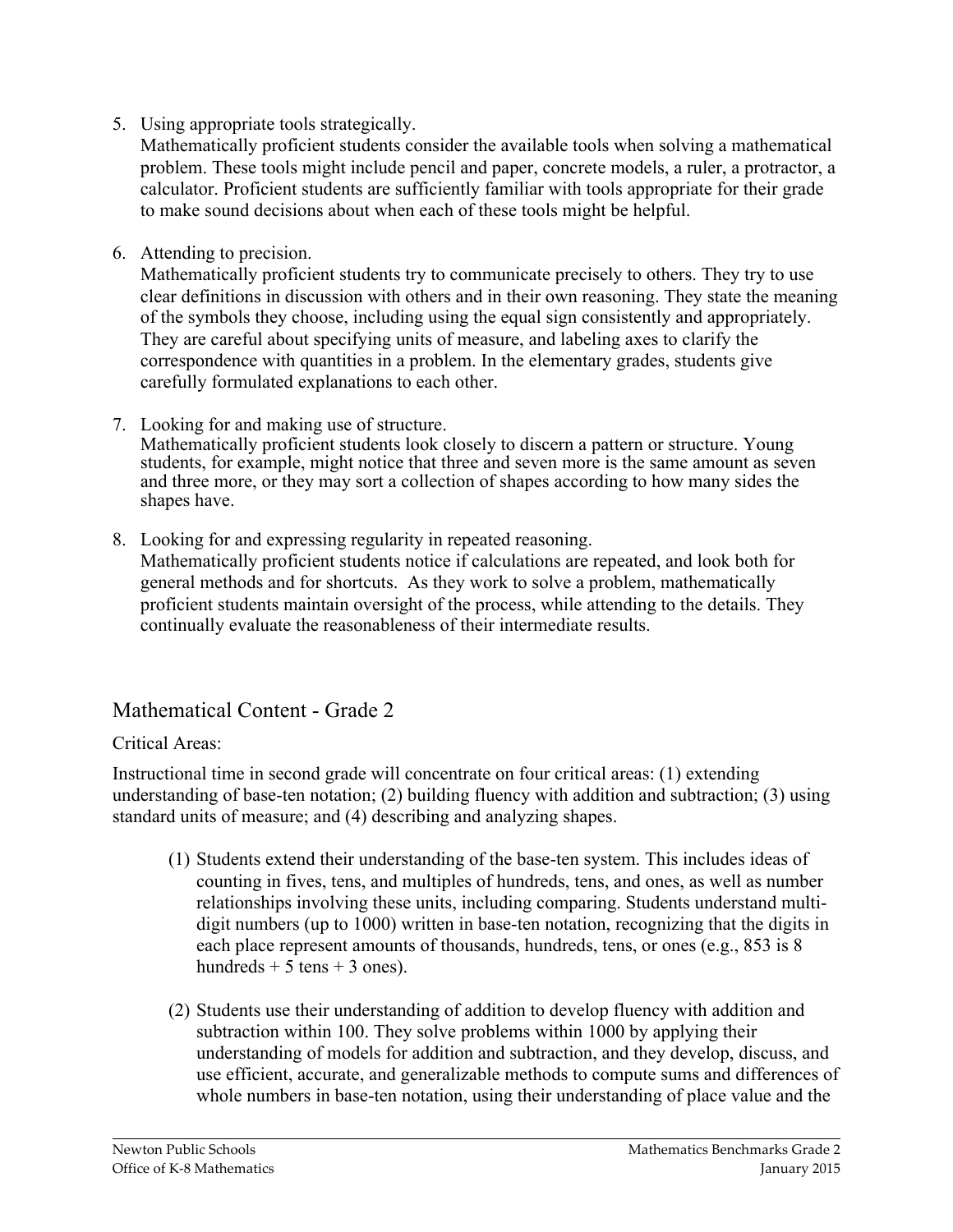5. Using appropriate tools strategically.

Mathematically proficient students consider the available tools when solving a mathematical problem. These tools might include pencil and paper, concrete models, a ruler, a protractor, a calculator. Proficient students are sufficiently familiar with tools appropriate for their grade to make sound decisions about when each of these tools might be helpful.

6. Attending to precision.

Mathematically proficient students try to communicate precisely to others. They try to use clear definitions in discussion with others and in their own reasoning. They state the meaning of the symbols they choose, including using the equal sign consistently and appropriately. They are careful about specifying units of measure, and labeling axes to clarify the correspondence with quantities in a problem. In the elementary grades, students give carefully formulated explanations to each other.

- 7. Looking for and making use of structure. Mathematically proficient students look closely to discern a pattern or structure. Young students, for example, might notice that three and seven more is the same amount as seven and three more, or they may sort a collection of shapes according to how many sides the shapes have.
- 8. Looking for and expressing regularity in repeated reasoning.

Mathematically proficient students notice if calculations are repeated, and look both for general methods and for shortcuts. As they work to solve a problem, mathematically proficient students maintain oversight of the process, while attending to the details. They continually evaluate the reasonableness of their intermediate results.

### Mathematical Content - Grade 2

#### Critical Areas:

Instructional time in second grade will concentrate on four critical areas: (1) extending understanding of base-ten notation; (2) building fluency with addition and subtraction; (3) using standard units of measure; and (4) describing and analyzing shapes.

- (1) Students extend their understanding of the base-ten system. This includes ideas of counting in fives, tens, and multiples of hundreds, tens, and ones, as well as number relationships involving these units, including comparing. Students understand multidigit numbers (up to 1000) written in base-ten notation, recognizing that the digits in each place represent amounts of thousands, hundreds, tens, or ones (e.g., 853 is 8 hundreds  $+5$  tens  $+3$  ones).
- (2) Students use their understanding of addition to develop fluency with addition and subtraction within 100. They solve problems within 1000 by applying their understanding of models for addition and subtraction, and they develop, discuss, and use efficient, accurate, and generalizable methods to compute sums and differences of whole numbers in base-ten notation, using their understanding of place value and the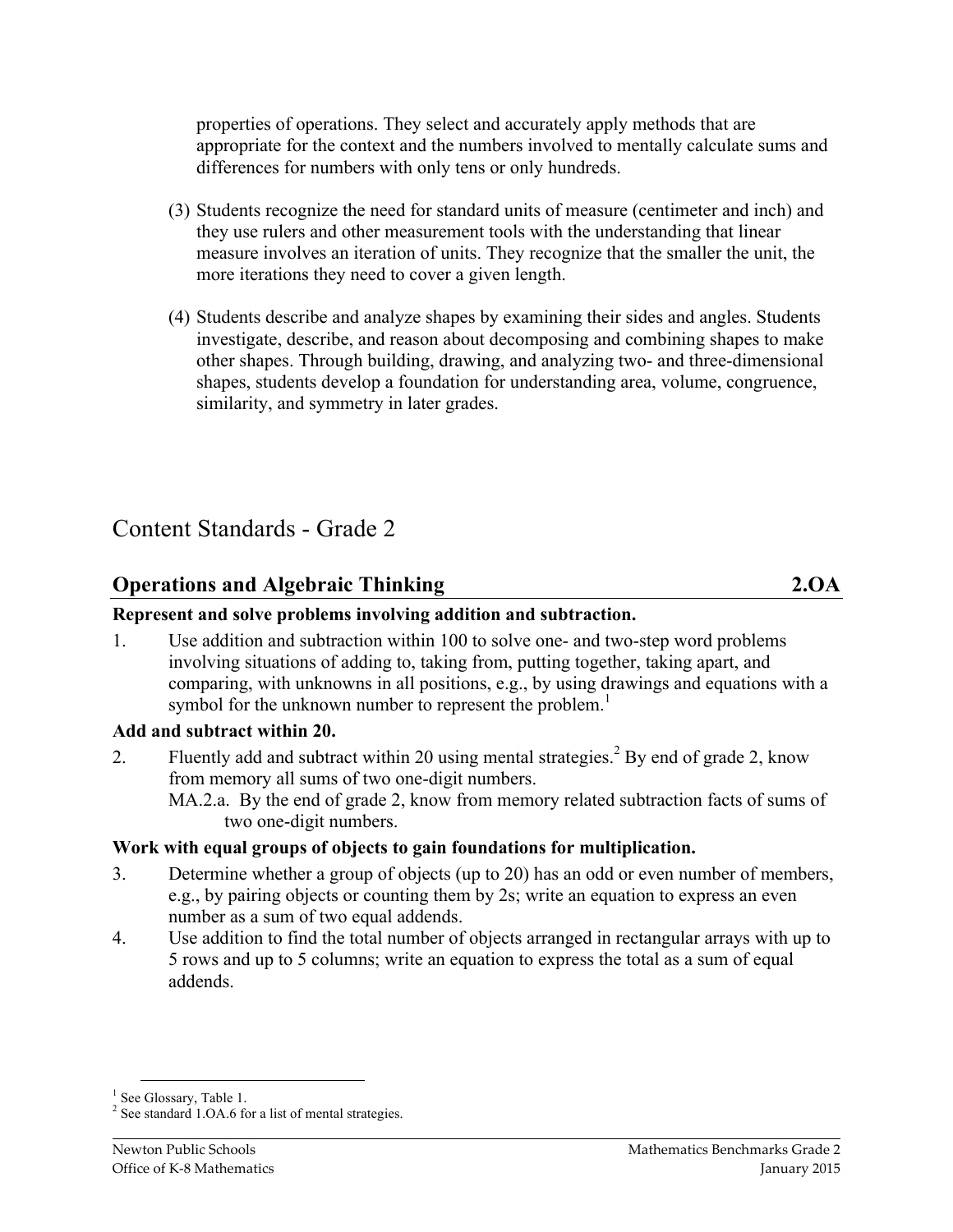properties of operations. They select and accurately apply methods that are appropriate for the context and the numbers involved to mentally calculate sums and differences for numbers with only tens or only hundreds.

- (3) Students recognize the need for standard units of measure (centimeter and inch) and they use rulers and other measurement tools with the understanding that linear measure involves an iteration of units. They recognize that the smaller the unit, the more iterations they need to cover a given length.
- (4) Students describe and analyze shapes by examining their sides and angles. Students investigate, describe, and reason about decomposing and combining shapes to make other shapes. Through building, drawing, and analyzing two- and three-dimensional shapes, students develop a foundation for understanding area, volume, congruence, similarity, and symmetry in later grades.

# Content Standards - Grade 2

# **Operations and Algebraic Thinking 2.OA**

#### **Represent and solve problems involving addition and subtraction.**

1. Use addition and subtraction within 100 to solve one- and two-step word problems involving situations of adding to, taking from, putting together, taking apart, and comparing, with unknowns in all positions, e.g., by using drawings and equations with a symbol for the unknown number to represent the problem.<sup>1</sup>

#### **Add and subtract within 20.**

2. Fluently add and subtract within 20 using mental strategies.<sup>2</sup> By end of grade 2, know from memory all sums of two one-digit numbers. MA.2.a. By the end of grade 2, know from memory related subtraction facts of sums of two one-digit numbers.

#### **Work with equal groups of objects to gain foundations for multiplication.**

- 3. Determine whether a group of objects (up to 20) has an odd or even number of members, e.g., by pairing objects or counting them by 2s; write an equation to express an even number as a sum of two equal addends.
- 4. Use addition to find the total number of objects arranged in rectangular arrays with up to 5 rows and up to 5 columns; write an equation to express the total as a sum of equal addends.

<sup>1</sup> <sup>1</sup> See Glossary, Table 1.

<sup>&</sup>lt;sup>2</sup> See standard 1.OA.6 for a list of mental strategies.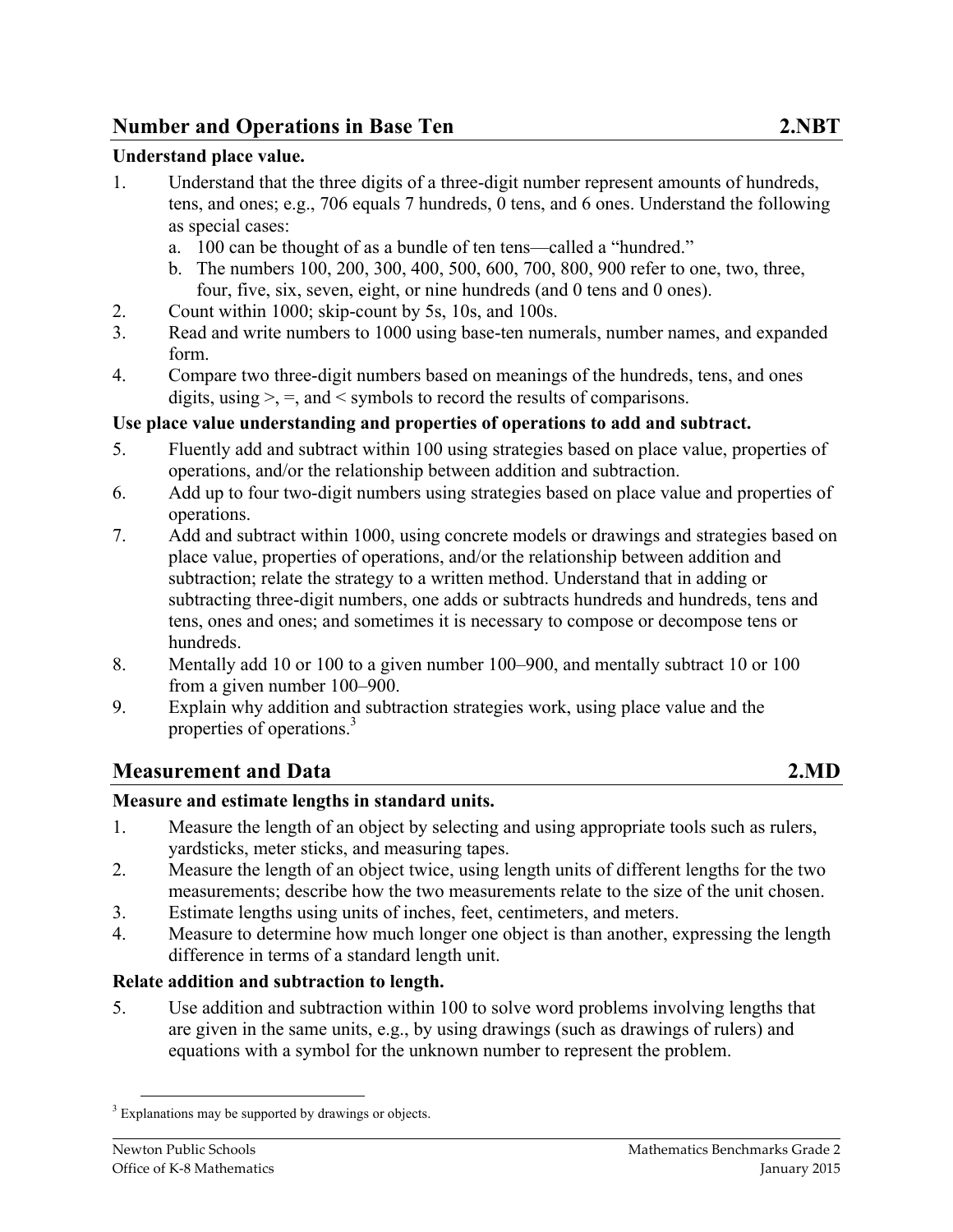## **Number and Operations in Base Ten 2.NBT**

#### **Understand place value.**

- 1. Understand that the three digits of a three-digit number represent amounts of hundreds, tens, and ones; e.g., 706 equals 7 hundreds, 0 tens, and 6 ones. Understand the following as special cases:
	- a. 100 can be thought of as a bundle of ten tens—called a "hundred."
	- b. The numbers 100, 200, 300, 400, 500, 600, 700, 800, 900 refer to one, two, three, four, five, six, seven, eight, or nine hundreds (and 0 tens and 0 ones).
- 2. Count within 1000; skip-count by 5s, 10s, and 100s.
- 3. Read and write numbers to 1000 using base-ten numerals, number names, and expanded form.
- 4. Compare two three-digit numbers based on meanings of the hundreds, tens, and ones digits, using  $\geq$ ,  $\equiv$ , and  $\leq$  symbols to record the results of comparisons.

#### **Use place value understanding and properties of operations to add and subtract.**

- 5. Fluently add and subtract within 100 using strategies based on place value, properties of operations, and/or the relationship between addition and subtraction.
- 6. Add up to four two-digit numbers using strategies based on place value and properties of operations.
- 7. Add and subtract within 1000, using concrete models or drawings and strategies based on place value, properties of operations, and/or the relationship between addition and subtraction; relate the strategy to a written method. Understand that in adding or subtracting three-digit numbers, one adds or subtracts hundreds and hundreds, tens and tens, ones and ones; and sometimes it is necessary to compose or decompose tens or hundreds.
- 8. Mentally add 10 or 100 to a given number 100–900, and mentally subtract 10 or 100 from a given number 100–900.
- 9. Explain why addition and subtraction strategies work, using place value and the properties of operations.<sup>3</sup>

### **Measurement and Data** 2.MD

#### **Measure and estimate lengths in standard units.**

- 1. Measure the length of an object by selecting and using appropriate tools such as rulers, yardsticks, meter sticks, and measuring tapes.
- 2. Measure the length of an object twice, using length units of different lengths for the two measurements; describe how the two measurements relate to the size of the unit chosen.
- 3. Estimate lengths using units of inches, feet, centimeters, and meters.
- 4. Measure to determine how much longer one object is than another, expressing the length difference in terms of a standard length unit.

### **Relate addition and subtraction to length.**

5. Use addition and subtraction within 100 to solve word problems involving lengths that are given in the same units, e.g., by using drawings (such as drawings of rulers) and equations with a symbol for the unknown number to represent the problem.

1

<sup>&</sup>lt;sup>3</sup> Explanations may be supported by drawings or objects.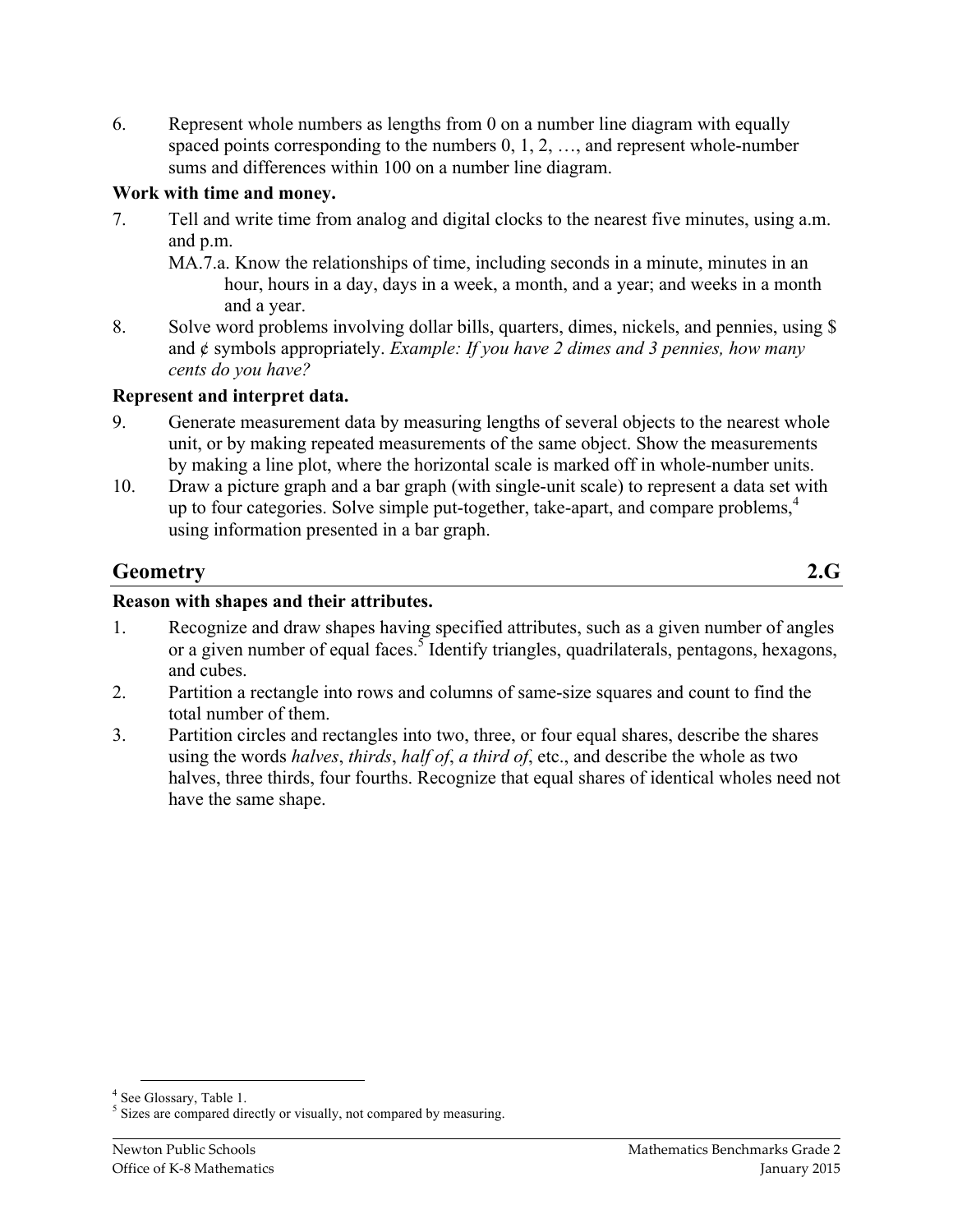6. Represent whole numbers as lengths from 0 on a number line diagram with equally spaced points corresponding to the numbers 0, 1, 2, …, and represent whole-number sums and differences within 100 on a number line diagram.

#### **Work with time and money.**

- 7. Tell and write time from analog and digital clocks to the nearest five minutes, using a.m. and p.m.
	- MA.7.a. Know the relationships of time, including seconds in a minute, minutes in an hour, hours in a day, days in a week, a month, and a year; and weeks in a month and a year.
- 8. Solve word problems involving dollar bills, quarters, dimes, nickels, and pennies, using \$ and ¢ symbols appropriately. *Example: If you have 2 dimes and 3 pennies, how many cents do you have?*

#### **Represent and interpret data.**

- 9. Generate measurement data by measuring lengths of several objects to the nearest whole unit, or by making repeated measurements of the same object. Show the measurements by making a line plot, where the horizontal scale is marked off in whole-number units.
- 10. Draw a picture graph and a bar graph (with single-unit scale) to represent a data set with up to four categories. Solve simple put-together, take-apart, and compare problems, $4\overline{4}$ using information presented in a bar graph.

# **Geometry 2.G**

### **Reason with shapes and their attributes.**

- 1. Recognize and draw shapes having specified attributes, such as a given number of angles or a given number of equal faces.<sup>5</sup> Identify triangles, quadrilaterals, pentagons, hexagons, and cubes.
- 2. Partition a rectangle into rows and columns of same-size squares and count to find the total number of them.
- 3. Partition circles and rectangles into two, three, or four equal shares, describe the shares using the words *halves*, *thirds*, *half of*, *a third of*, etc., and describe the whole as two halves, three thirds, four fourths. Recognize that equal shares of identical wholes need not have the same shape.

<sup>1</sup> <sup>4</sup> See Glossary, Table 1.

<sup>&</sup>lt;sup>5</sup> Sizes are compared directly or visually, not compared by measuring.